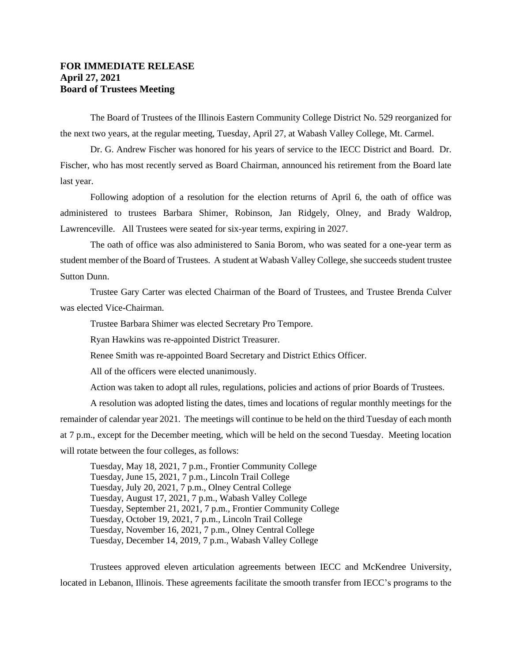## **FOR IMMEDIATE RELEASE April 27, 2021 Board of Trustees Meeting**

The Board of Trustees of the Illinois Eastern Community College District No. 529 reorganized for the next two years, at the regular meeting, Tuesday, April 27, at Wabash Valley College, Mt. Carmel.

Dr. G. Andrew Fischer was honored for his years of service to the IECC District and Board. Dr. Fischer, who has most recently served as Board Chairman, announced his retirement from the Board late last year.

Following adoption of a resolution for the election returns of April 6, the oath of office was administered to trustees Barbara Shimer, Robinson, Jan Ridgely, Olney, and Brady Waldrop, Lawrenceville. All Trustees were seated for six-year terms, expiring in 2027.

The oath of office was also administered to Sania Borom, who was seated for a one-year term as student member of the Board of Trustees. A student at Wabash Valley College, she succeeds student trustee Sutton Dunn.

Trustee Gary Carter was elected Chairman of the Board of Trustees, and Trustee Brenda Culver was elected Vice-Chairman.

Trustee Barbara Shimer was elected Secretary Pro Tempore.

Ryan Hawkins was re-appointed District Treasurer.

Renee Smith was re-appointed Board Secretary and District Ethics Officer.

All of the officers were elected unanimously.

Action was taken to adopt all rules, regulations, policies and actions of prior Boards of Trustees.

A resolution was adopted listing the dates, times and locations of regular monthly meetings for the remainder of calendar year 2021. The meetings will continue to be held on the third Tuesday of each month at 7 p.m., except for the December meeting, which will be held on the second Tuesday. Meeting location will rotate between the four colleges, as follows:

Tuesday, May 18, 2021, 7 p.m., Frontier Community College Tuesday, June 15, 2021, 7 p.m., Lincoln Trail College Tuesday, July 20, 2021, 7 p.m., Olney Central College Tuesday, August 17, 2021, 7 p.m., Wabash Valley College Tuesday, September 21, 2021, 7 p.m., Frontier Community College Tuesday, October 19, 2021, 7 p.m., Lincoln Trail College Tuesday, November 16, 2021, 7 p.m., Olney Central College Tuesday, December 14, 2019, 7 p.m., Wabash Valley College

Trustees approved eleven articulation agreements between IECC and McKendree University, located in Lebanon, Illinois. These agreements facilitate the smooth transfer from IECC's programs to the